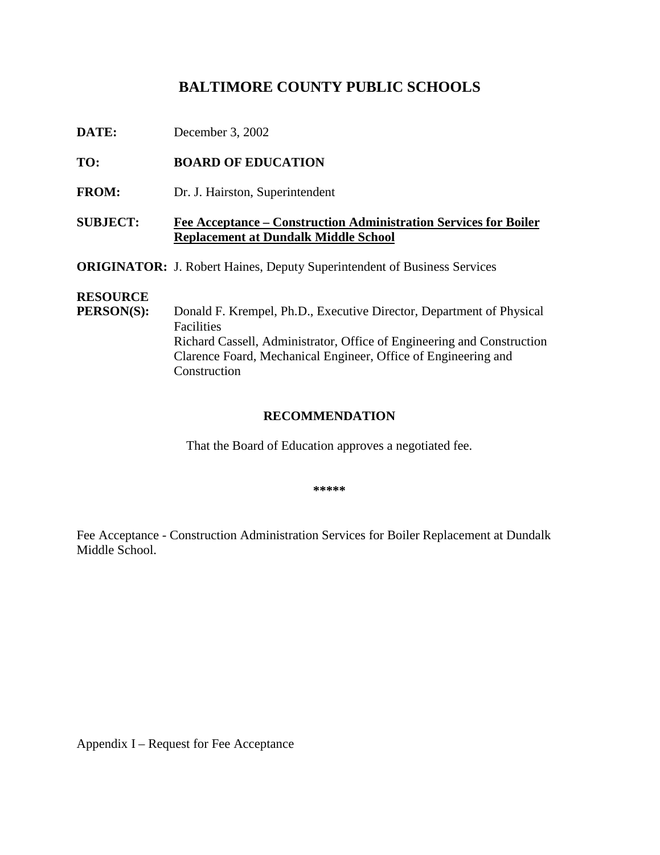# BALTIMORE COUNTY PUBLICS CHOOLS

**DATE:** December 3, 2002

TO: **BOARDOFEDUCATION** 

FROM: Dr.J. Hairston, Superintendent

**SUBJECT:** FeeAcceptance – Construction Administration Services for Boiler **Replacement at Dundalk Middle School**

**ORIGINATOR:** J.RobertHaines, Deputy Superintendent of Business Services

### **RESOURCE**

**PERSON(S):** Donald F. Krempel, Ph.D., Executive Director, Department of Physical **Facilities** Richard Cassell, Administrator, Office of Engineering and Construction Clarence Foard, Mechani cal Engineer, Office of Engineering and **Construction** 

### **RECOMMENDATION**

That the Board of Education approves a negotiated fee.

**\*\*\*\*\***

Fee Acceptance - Construction Administration Services for Boiler Replacement at Dundalk Middle School.

Appendix I – Requestfor Fee Acceptance